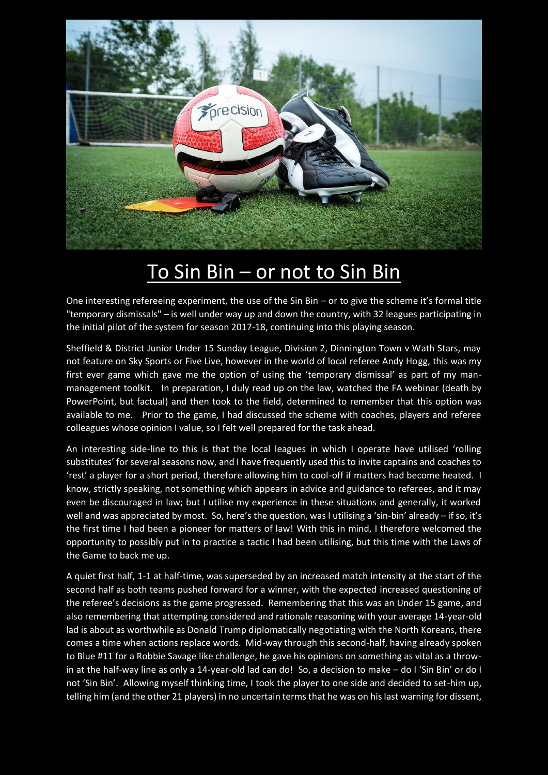

## To Sin Bin – or not to Sin Bin

One interesting refereeing experiment, the use of the Sin Bin – or to give the scheme it's formal title "temporary dismissals" – is well under way up and down the country, with 32 leagues participating in the initial pilot of the system for season 2017-18, continuing into this playing season.

Sheffield & District Junior Under 15 Sunday League, Division 2, Dinnington Town v Wath Stars, may not feature on Sky Sports or Five Live, however in the world of local referee Andy Hogg, this was my first ever game which gave me the option of using the 'temporary dismissal' as part of my manmanagement toolkit. In preparation, I duly read up on the law, watched the FA webinar (death by PowerPoint, but factual) and then took to the field, determined to remember that this option was available to me. Prior to the game, I had discussed the scheme with coaches, players and referee colleagues whose opinion I value, so I felt well prepared for the task ahead.

An interesting side-line to this is that the local leagues in which I operate have utilised 'rolling substitutes' for several seasons now, and I have frequently used this to invite captains and coaches to 'rest' a player for a short period, therefore allowing him to cool-off if matters had become heated. I know, strictly speaking, not something which appears in advice and guidance to referees, and it may even be discouraged in law; but I utilise my experience in these situations and generally, it worked well and was appreciated by most. So, here's the question, was I utilising a 'sin-bin' already – if so, it's the first time I had been a pioneer for matters of law! With this in mind, I therefore welcomed the opportunity to possibly put in to practice a tactic I had been utilising, but this time with the Laws of the Game to back me up.

A quiet first half, 1-1 at half-time, was superseded by an increased match intensity at the start of the second half as both teams pushed forward for a winner, with the expected increased questioning of the referee's decisions as the game progressed. Remembering that this was an Under 15 game, and also remembering that attempting considered and rationale reasoning with your average 14-year-old lad is about as worthwhile as Donald Trump diplomatically negotiating with the North Koreans, there comes a time when actions replace words. Mid-way through this second-half, having already spoken to Blue #11 for a Robbie Savage like challenge, he gave his opinions on something as vital as a throwin at the half-way line as only a 14-year-old lad can do! So, a decision to make - do I 'Sin Bin' or do I not 'Sin Bin'. Allowing myself thinking time, I took the player to one side and decided to set-him up, telling him (and the other 21 players) in no uncertain terms that he was on his last warning for dissent,